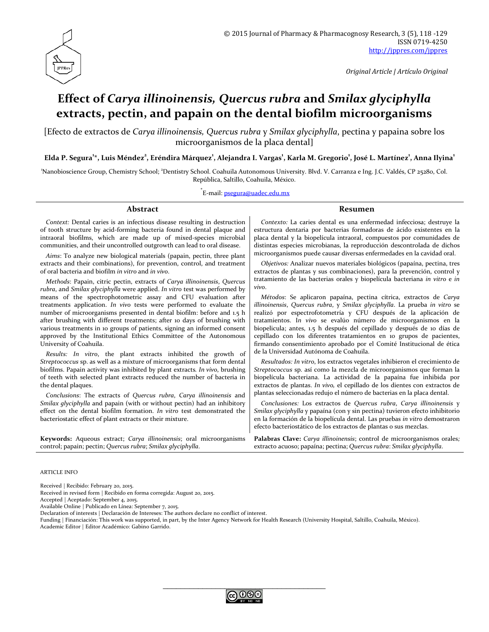

*Original Article | Artículo Original*

# **Effect of** *Carya illinoinensis, Quercus rubra* **and** *Smilax glyciphylla* **extracts, pectin, and papain on the dental biofilm microorganisms**

[Efecto de extractos de *Carya illinoinensis, Quercus rubra* y *Smilax glyciphylla*, pectina y papaina sobre los microorganismos de la placa dental]

**Elda P. Segura1 \*, Luis Méndez2 , Eréndira Márquez1 , Alejandra I. Vargas1 , Karla M. Gregorio<sup>1</sup> , José L. Martínez1 , Anna Ilyina1**

'Nanobioscience Group, Chemistry School; <sup>2</sup>Dentistry School. Coahuila Autonomous University. Blvd. V. Carranza e Ing. J.C. Valdés, CP 25280, Col. República, Saltillo, Coahuila, México.

\*<br>E-mail: <u>[psegura@uadec.edu.mx](mailto:psegura@uadec.edu.mx)</u>

*Context:* Dental caries is an infectious disease resulting in destruction of tooth structure by acid-forming bacteria found in dental plaque and intraoral biofilms, which are made up of mixed-species microbial communities, and their uncontrolled outgrowth can lead to oral disease.

*Aims*: To analyze new biological materials (papain, pectin, three plant extracts and their combinations), for prevention, control, and treatment of oral bacteria and biofilm *in vitro* and *in vivo*.

*Methods*: Papain, citric pectin, extracts of *Carya illinoinensis*, *Quercus rubra*, and *Smilax glyciphylla* were applied. *In vitro* test was performed by means of the spectrophotometric assay and CFU evaluation after treatments application. *In vivo* tests were performed to evaluate the number of microorganisms presented in dental biofilm: before and 1.5 h after brushing with different treatments; after 10 days of brushing with various treatments in 10 groups of patients, signing an informed consent approved by the Institutional Ethics Committee of the Autonomous University of Coahuila.

*Results: In vitro*, the plant extracts inhibited the growth of *Streptococcus* sp. as well as a mixture of microorganisms that form dental biofilms. Papain activity was inhibited by plant extracts*. In vivo*, brushing of teeth with selected plant extracts reduced the number of bacteria in the dental plaques.

*Conclusions*: The extracts of *Quercus rubra*, *Carya illinoinensis* and *Smilax glyciphylla* and papain (with or without pectin) had an inhibitory effect on the dental biofilm formation. *In vitro* test demonstrated the bacteriostatic effect of plant extracts or their mixture.

**Keywords:** Aqueous extract; *Carya illinoinensis*; oral microorganisms control; papain; pectin; *Quercus rubra*; *Smilax glyciphylla*.

#### **Abstract Resumen**

*Contexto:* La caries dental es una enfermedad infecciosa; destruye la estructura dentaria por bacterias formadoras de ácido existentes en la placa dental y la biopelícula intraoral, compuestos por comunidades de distintas especies microbianas, la reproducción descontrolada de dichos microorganismos puede causar diversas enfermedades en la cavidad oral.

*Objetivos:* Analizar nuevos materiales biológicos (papaína, pectina, tres extractos de plantas y sus combinaciones), para la prevención, control y tratamiento de las bacterias orales y biopelícula bacteriana *in vitro* e *in vivo*.

*Métodos*: Se aplicaron papaína, pectina cítrica, extractos de *Carya illinoinensis*, *Quercus rubra*, y *Smilax glyciphylla*. La prueba *in vitro* se realizó por espectrofotometría y CFU después de la aplicación de tratamientos. I*n vivo* se evalúo número de microorganismos en la biopelicula; antes, 1.5 h después del cepillado y después de 10 días de cepillado con los diferentes tratamientos en 10 grupos de pacientes, firmando consentimiento aprobado por el Comité Institucional de ética de la Universidad Autónoma de Coahuila.

*Resultados: In vitro*, los extractos vegetales inhibieron el crecimiento de *Streptococcus* sp. así como la mezcla de microorganismos que forman la biopelícula bacteriana. La actividad de la papaína fue inhibida por extractos de plantas. *In vivo,* el cepillado de los dientes con extractos de plantas seleccionadas redujo el número de bacterias en la placa dental.

*Conclusiones:* Los extractos de *Quercus rubra*, *Carya illinoinensis* y *Smilax glyciphylla* y papaína (con y sin pectina) tuvieron efecto inhibitorio en la formación de la biopelícula dental. Las pruebas *in vitro* demostraron efecto bacteriostático de los extractos de plantas o sus mezclas.

**Palabras Clave:** *Carya illinoinensis*; control de microorganismos orales*;* extracto acuoso; papaína; pectina; *Quercus rubra*: *Smilax glyciphylla*.

#### ARTICLE INFO

Received | Recibido: February 20, 2015.

Received in revised form | Recibido en forma corregida: August 20, 2015.

Accepted | Aceptado: September 4, 2015.

Available Online | Publicado en Línea: September 7, 2015.

Declaration of interests | Declaración de Intereses: The authors declare no conflict of interest.

Funding | Financiación: This work was supported, in part, by the Inter Agency Network for Health Research (University Hospital, Saltillo, Coahuila, México). Academic Editor | Editor Académico: Gabino Garrido.

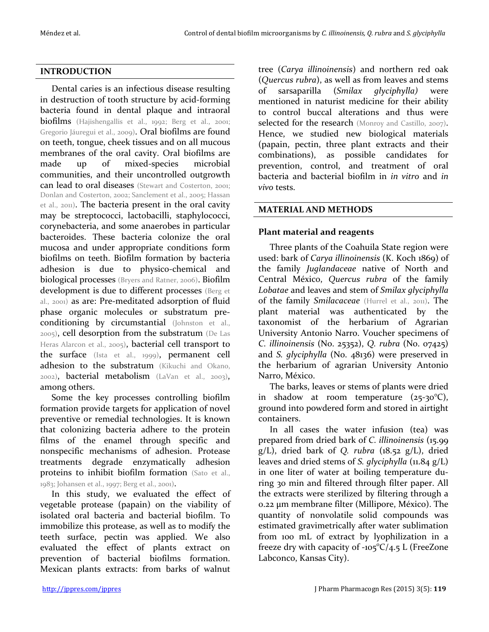## **INTRODUCTION**

Dental caries is an infectious disease resulting in destruction of tooth structure by acid-forming bacteria found in dental plaque and intraoral biofilms (Hajishengallis et al., 1992; Berg et al., 2001; Gregorio Jáuregui et al., 2009). Oral biofilms are found on teeth, tongue, cheek tissues and on all mucous membranes of the oral cavity. Oral biofilms are made up of mixed-species microbial communities, and their uncontrolled outgrowth can lead to oral diseases (Stewart and Costerton, 2001; Donlan and Costerton, 2002; Sanclement et al., 2005; Hassan et al., 2011). The bacteria present in the oral cavity may be streptococci, lactobacilli, staphylococci, corynebacteria, and some anaerobes in particular bacteroides. These bacteria colonize the oral mucosa and under appropriate conditions form biofilms on teeth. Biofilm formation by bacteria adhesion is due to physico-chemical and biological processes (Bryers and Ratner, 2006). Biofilm development is due to different processes (Berg et al., 2001) as are: Pre-meditated adsorption of fluid phase organic molecules or substratum preconditioning by circumstantial (Johnston et al., 2005), cell desorption from the substratum (De Las Heras Alarcon et al., 2005), bacterial cell transport to the surface (Ista et al., 1999), permanent cell adhesion to the substratum (Kikuchi and Okano, 2002), bacterial metabolism (LaVan et al., 2003), among others.

Some the key processes controlling biofilm formation provide targets for application of novel preventive or remedial technologies. It is known that colonizing bacteria adhere to the protein films of the enamel through specific and nonspecific mechanisms of adhesion. Protease treatments degrade enzymatically adhesion proteins to inhibit biofilm formation (Sato et al., 1983; Johansen et al., 1997; Berg et al., 2001).

In this study, we evaluated the effect of vegetable protease (papain) on the viability of isolated oral bacteria and bacterial biofilm. To immobilize this protease, as well as to modify the teeth surface, pectin was applied. We also evaluated the effect of plants extract on prevention of bacterial biofilms formation. Mexican plants extracts: from barks of walnut

tree (*Carya illinoinensis*) and northern red oak (*Quercus rubra*), as well as from leaves and stems of sarsaparilla (*Smilax glyciphylla)* were mentioned in naturist medicine for their ability to control buccal alterations and thus were selected for the research (Monroy and Castillo, 2007). Hence, we studied new biological materials (papain, pectin, three plant extracts and their combinations), as possible candidates for prevention, control, and treatment of oral bacteria and bacterial biofilm in *in vitro* and *in vivo* tests.

## **MATERIAL AND METHODS**

## **Plant material and reagents**

Three plants of the Coahuila State region were used: bark of *Carya illinoinensis* (K. Koch 1869) of the family *Juglandaceae* native of North and Central México, *Quercus rubra* of the family *Lobatae* and leaves and stem of *Smilax glyciphylla*  of the family *Smilacaceae* (Hurrel et al., 2011). The plant material was authenticated by the taxonomist of the herbarium of Agrarian University Antonio Narro. Voucher specimens of *C. illinoinensis* (No. 25352), *Q. rubra* (No. 07425) and *S. glyciphylla* (No. 48136) were preserved in the herbarium of agrarian University Antonio Narro, México.

The barks, leaves or stems of plants were dried in shadow at room temperature  $(25-30^{\circ}\text{C}),$ ground into powdered form and stored in airtight containers.

In all cases the water infusion (tea) was prepared from dried bark of *C. illinoinensis* (15.99 g/L), dried bark of *Q. rubra* (18.52 g/L), dried leaves and dried stems of *S. glyciphylla* (11.84 g/L) in one liter of water at boiling temperature during 30 min and filtered through filter paper. All the extracts were sterilized by filtering through a 0.22 μm membrane filter (Millipore, México). The quantity of nonvolatile solid compounds was estimated gravimetrically after water sublimation from 100 mL of extract by lyophilization in a freeze dry with capacity of  $-105^{\circ}C/4.5$  L (FreeZone Labconco, Kansas City).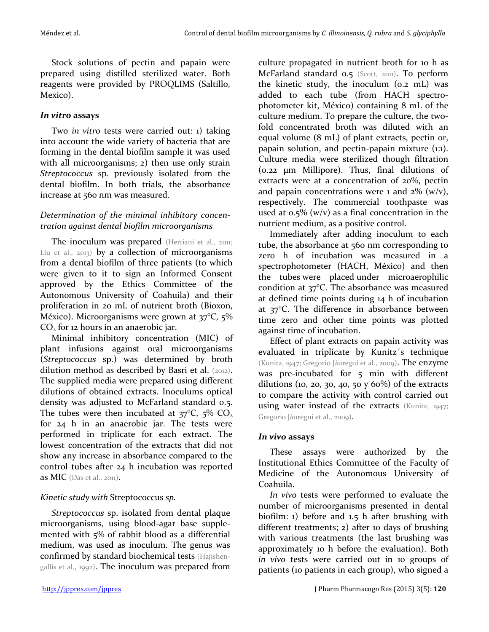Stock solutions of pectin and papain were prepared using distilled sterilized water. Both reagents were provided by PROQLIMS (Saltillo, Mexico).

## *In vitro* **assays**

Two *in vitro* tests were carried out: 1) taking into account the wide variety of bacteria that are forming in the dental biofilm sample it was used with all microorganisms; 2) then use only strain *Streptococcus* sp*.* previously isolated from the dental biofilm. In both trials, the absorbance increase at 560 nm was measured.

## *Determination of the minimal inhibitory concentration against dental biofilm microorganisms*

The inoculum was prepared (Hertiani et al., 2011; Liu et al., 2013) by a collection of microorganisms from a dental biofilm of three patients (to which were given to it to sign an Informed Consent approved by the Ethics Committee of the Autonomous University of Coahuila) and their proliferation in 20 mL of nutrient broth (Bioxon, México). Microorganisms were grown at 37°C, 5% CO<sub>2</sub> for 12 hours in an anaerobic jar.

Minimal inhibitory concentration (MIC) of plant infusions against oral microorganisms (*Streptococcus* sp.) was determined by broth dilution method as described by Basri et al. (2012). The supplied media were prepared using different dilutions of obtained extracts. Inoculums optical density was adjusted to McFarland standard 0.5. The tubes were then incubated at  $37^{\circ}C$ ,  $5\%$  CO<sub>2</sub> for 24 h in an anaerobic jar. The tests were performed in triplicate for each extract. The lowest concentration of the extracts that did not show any increase in absorbance compared to the control tubes after 24 h incubation was reported as MIC (Das et al., 2011).

## *Kinetic study with* Streptococcus *sp.*

*Streptococcus* sp. isolated from dental plaque microorganisms, using blood-agar base supplemented with 5% of rabbit blood as a differential medium, was used as inoculum. The genus was confirmed by standard biochemical tests (Hajishengallis et al., 1992). The inoculum was prepared from

culture propagated in nutrient broth for 10 h as McFarland standard 0.5 (Scott, 2011). To perform the kinetic study, the inoculum (0.2 mL) was added to each tube (from HACH spectrophotometer kit, México) containing 8 mL of the culture medium. To prepare the culture, the twofold concentrated broth was diluted with an equal volume (8 mL) of plant extracts, pectin or, papain solution, and pectin-papain mixture (1:1). Culture media were sterilized though filtration (0.22 µm Millipore). Thus, final dilutions of extracts were at a concentration of 20%, pectin and papain concentrations were 1 and  $2\%$  (w/v), respectively. The commercial toothpaste was used at  $0.5\%$  (w/v) as a final concentration in the nutrient medium, as a positive control.

Immediately after adding inoculum to each tube, the absorbance at 560 nm corresponding to zero h of incubation was measured in a spectrophotometer (HACH, México) and then the tubes were placed under microaerophilic condition at 37°C. The absorbance was measured at defined time points during 14 h of incubation at 37°C. The difference in absorbance between time zero and other time points was plotted against time of incubation.

Effect of plant extracts on papain activity was evaluated in triplicate by Kunitz´s technique (Kunitz, 1947; Gregorio Jáuregui et al., 2009). The enzyme was pre-incubated for 5 min with different dilutions (10, 20, 30, 40, 50  $y$  60%) of the extracts to compare the activity with control carried out using water instead of the extracts (Kunitz, 1947; Gregorio Jáuregui et al., 2009).

## *In vivo* **assays**

These assays were authorized by the Institutional Ethics Committee of the Faculty of Medicine of the Autonomous University of Coahuila.

*In vivo* tests were performed to evaluate the number of microorganisms presented in dental biofilm: 1) before and 1.5 h after brushing with different treatments; 2) after 10 days of brushing with various treatments (the last brushing was approximately 10 h before the evaluation). Both *in vivo* tests were carried out in 10 groups of patients (10 patients in each group), who signed a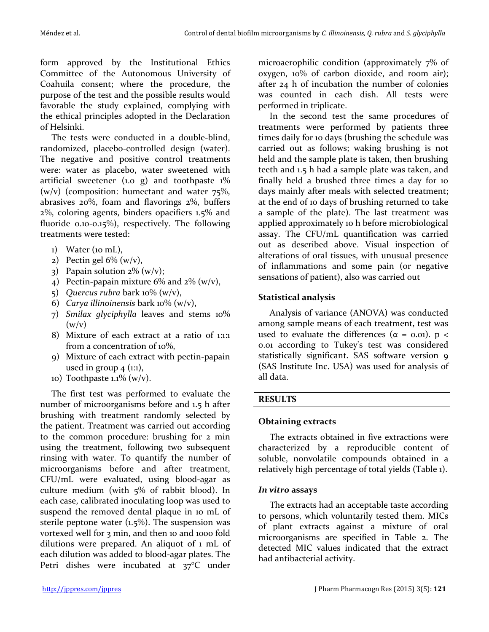form approved by the Institutional Ethics Committee of the Autonomous University of Coahuila consent; where the procedure, the purpose of the test and the possible results would favorable the study explained, complying with the ethical principles adopted in the Declaration of Helsinki.

The tests were conducted in a double-blind, randomized, placebo-controlled design (water). The negative and positive control treatments were: water as placebo, water sweetened with artificial sweetener (1.0 g) and toothpaste  $1\%$  $(w/v)$  (composition: humectant and water 75%, abrasives 20%, foam and flavorings 2%, buffers 2%, coloring agents, binders opacifiers 1.5% and fluoride 0.10-0.15%), respectively. The following treatments were tested:

- $1)$  Water (10 mL),
- 2) Pectin gel  $6\%$  (w/v),
- 3) Papain solution  $2\%$  (w/v);
- 4) Pectin-papain mixture  $6\%$  and  $2\%$  (w/v),
- 5) *Quercus rubra* bark 10% (w/v),
- 6) *Carya illinoinensis* bark 10% (w/v),
- 7) *Smilax glyciphylla* leaves and stems 10%  $(w/v)$
- 8) Mixture of each extract at a ratio of 1:1:1 from a concentration of 10%,
- 9) Mixture of each extract with pectin-papain used in group  $4 \text{ } (1:1),$
- 10) Toothpaste 1.1%  $(w/v)$ .

The first test was performed to evaluate the number of microorganisms before and 1.5 h after brushing with treatment randomly selected by the patient. Treatment was carried out according to the common procedure: brushing for 2 min using the treatment, following two subsequent rinsing with water. To quantify the number of microorganisms before and after treatment, CFU/mL were evaluated, using blood-agar as culture medium (with 5% of rabbit blood). In each case, calibrated inoculating loop was used to suspend the removed dental plaque in 10 mL of sterile peptone water  $(1.5\%)$ . The suspension was vortexed well for 3 min, and then 10 and 1000 fold dilutions were prepared. An aliquot of 1 mL of each dilution was added to blood-agar plates. The Petri dishes were incubated at 37°C under

microaerophilic condition (approximately 7% of oxygen, 10% of carbon dioxide, and room air); after 24 h of incubation the number of colonies was counted in each dish. All tests were performed in triplicate.

In the second test the same procedures of treatments were performed by patients three times daily for 10 days (brushing the schedule was carried out as follows; waking brushing is not held and the sample plate is taken, then brushing teeth and 1.5 h had a sample plate was taken, and finally held a brushed three times a day for 10 days mainly after meals with selected treatment; at the end of 10 days of brushing returned to take a sample of the plate). The last treatment was applied approximately 10 h before microbiological assay. The CFU/mL quantification was carried out as described above. Visual inspection of alterations of oral tissues, with unusual presence of inflammations and some pain (or negative sensations of patient), also was carried out

# **Statistical analysis**

Analysis of variance (ANOVA) was conducted among sample means of each treatment, test was used to evaluate the differences ( $\alpha$  = 0.01). p < 0.01 according to Tukey's test was considered statistically significant. SAS software version 9 (SAS Institute Inc. USA) was used for analysis of all data.

# **RESULTS**

# **Obtaining extracts**

The extracts obtained in five extractions were characterized by a reproducible content of soluble, nonvolatile compounds obtained in a relatively high percentage of total yields (Table 1).

# *In vitro* **assays**

The extracts had an acceptable taste according to persons, which voluntarily tested them. MICs of plant extracts against a mixture of oral microorganisms are specified in Table 2. The detected MIC values indicated that the extract had antibacterial activity.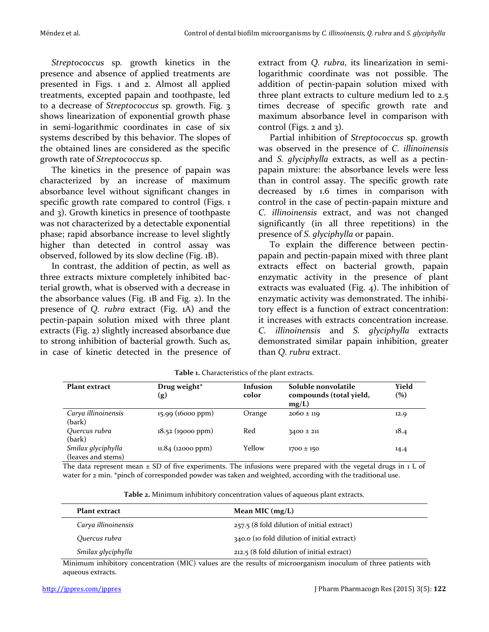*Streptococcus* sp*.* growth kinetics in the presence and absence of applied treatments are presented in Figs. 1 and 2. Almost all applied treatments, excepted papain and toothpaste, led to a decrease of *Streptococcus* sp*.* growth. Fig. 3 shows linearization of exponential growth phase in semi-logarithmic coordinates in case of six systems described by this behavior. The slopes of the obtained lines are considered as the specific growth rate of *Streptococcus* sp.

The kinetics in the presence of papain was characterized by an increase of maximum absorbance level without significant changes in specific growth rate compared to control (Figs. 1 and 3). Growth kinetics in presence of toothpaste was not characterized by a detectable exponential phase; rapid absorbance increase to level slightly higher than detected in control assay was observed, followed by its slow decline (Fig. 1B).

In contrast, the addition of pectin, as well as three extracts mixture completely inhibited bacterial growth, what is observed with a decrease in the absorbance values (Fig. 1B and Fig. 2). In the presence of *Q. rubra* extract (Fig. 1A) and the pectin-papain solution mixed with three plant extracts (Fig. 2) slightly increased absorbance due to strong inhibition of bacterial growth. Such as, in case of kinetic detected in the presence of

extract from *Q. rubra*, its linearization in semilogarithmic coordinate was not possible. The addition of pectin-papain solution mixed with three plant extracts to culture medium led to 2.5 times decrease of specific growth rate and maximum absorbance level in comparison with control (Figs. 2 and 3).

Partial inhibition of *Streptococcus* sp. growth was observed in the presence of *C. illinoinensis* and *S. glyciphylla* extracts, as well as a pectinpapain mixture: the absorbance levels were less than in control assay. The specific growth rate decreased by 1.6 times in comparison with control in the case of pectin-papain mixture and *C. illinoinensis* extract, and was not changed significantly (in all three repetitions) in the presence of *S. glyciphylla* or papain.

To explain the difference between pectinpapain and pectin-papain mixed with three plant extracts effect on bacterial growth, papain enzymatic activity in the presence of plant extracts was evaluated (Fig. 4). The inhibition of enzymatic activity was demonstrated. The inhibitory effect is a function of extract concentration: it increases with extracts concentration increase. *C. illinoinensis* and *S. glyciphylla* extracts demonstrated similar papain inhibition, greater than *Q. rubra* extract.

| <b>Plant extract</b>                     | Drug weight <sup>*</sup><br>$\left( \mathbf{g}\right)$ | Infusion<br>color | Soluble nonvolatile<br>compounds (total yield,<br>mg/L) | Yield<br>$(\%)$ |
|------------------------------------------|--------------------------------------------------------|-------------------|---------------------------------------------------------|-----------------|
| Carya illinoinensis<br>(bark)            | $15.99$ (16000 ppm)                                    | Orange            | $2060 \pm 119$                                          | 12.9            |
| Quercus rubra<br>(bark)                  | $18.52$ (19000 ppm)                                    | Red               | $3400 \pm 211$                                          | 18.4            |
| Smilax glyciphylla<br>(leaves and stems) | $11.84$ (12000 ppm)                                    | Yellow            | $1700 \pm 150$                                          | 14.4            |

**Table 1.** Characteristics of the plant extracts.

The data represent mean  $\pm$  SD of five experiments. The infusions were prepared with the vegetal drugs in 1 L of water for 2 min. \*pinch of corresponded powder was taken and weighted, according with the traditional use.

**Table 2.** Minimum inhibitory concentration values of aqueous plant extracts.

| Plant extract       | Mean MIC $(mg/L)$                           |  |  |
|---------------------|---------------------------------------------|--|--|
| Carya illinoinensis | 257.5 (8 fold dilution of initial extract)  |  |  |
| Quercus rubra       | 340.0 (10 fold dilution of initial extract) |  |  |
| Smilax glyciphylla  | 212.5 (8 fold dilution of initial extract)  |  |  |

Minimum inhibitory concentration (MIC) values are the results of microorganism inoculum of three patients with aqueous extracts.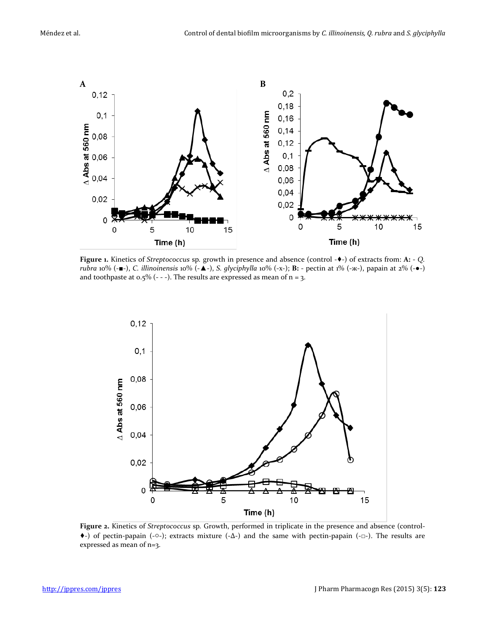

**Figure 1.** Kinetics of *Streptococcus* sp*.* growth in presence and absence (control -♦-) of extracts from: **A:** - *Q. rubra* 10% (-■-), *C. illinoinensis* 10% (-▲-), *S. glyciphylla* 10% (-x-); **B:** - pectin at 1% (-ж-), papain at 2% (-●-) and toothpaste at  $0.5\%$  (- - -). The results are expressed as mean of  $n = 3$ .



**Figure 2.** Kinetics of *Streptococcus* sp*.* Growth, performed in triplicate in the presence and absence (control- ♦-) of pectin-papain (-○-); extracts mixture (-∆-) and the same with pectin-papain (-□-). The results are expressed as mean of n=3.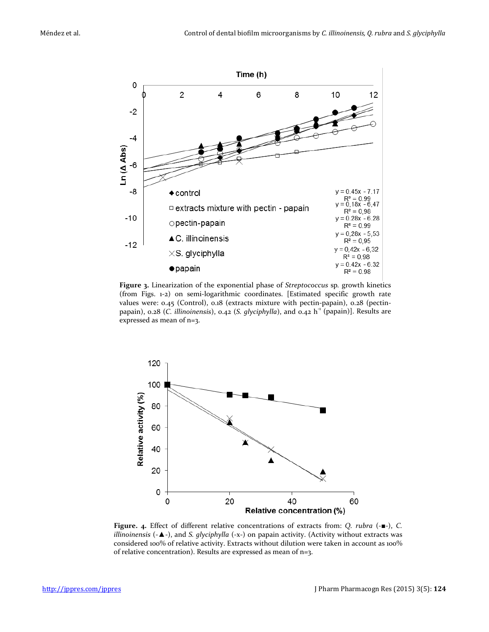

**Figure 3.** Linearization of the exponential phase of *Streptococcus* sp*.* growth kinetics (from Figs. 1-2) on semi-logarithmic coordinates. [Estimated specific growth rate values were: 0.45 (Control), 0.18 (extracts mixture with pectin-papain), 0.28 (pectinpapain), 0.28 (*C. illinoinensis*), 0.42 (*S. glyciphylla*), and 0.42 h<sup>-1</sup> (papain)]. Results are expressed as mean of n=3.



**Figure. 4.** Effect of different relative concentrations of extracts from: *Q. rubra* (-■-), *C. illinoinensis* (-▲-), and *S. glyciphylla* (-x-) on papain activity. (Activity without extracts was considered 100% of relative activity. Extracts without dilution were taken in account as 100% of relative concentration). Results are expressed as mean of n=3.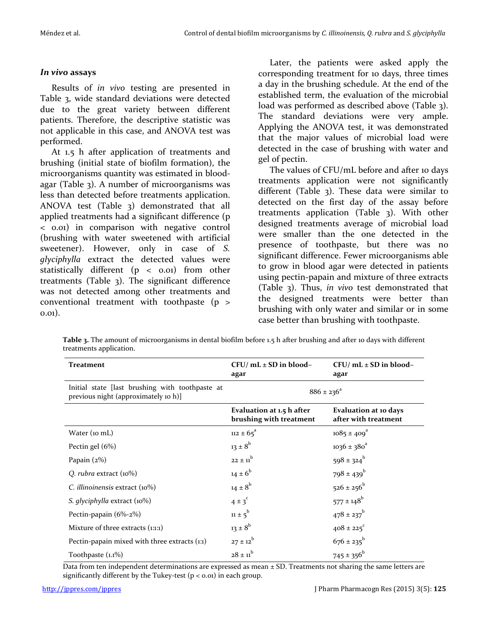## *In vivo* **assays**

Results of *in vivo* testing are presented in Table 3, wide standard deviations were detected due to the great variety between different patients. Therefore, the descriptive statistic was not applicable in this case, and ANOVA test was performed.

At 1.5 h after application of treatments and brushing (initial state of biofilm formation), the microorganisms quantity was estimated in bloodagar (Table 3). A number of microorganisms was less than detected before treatments application. ANOVA test (Table 3) demonstrated that all applied treatments had a significant difference (p < 0.01) in comparison with negative control (brushing with water sweetened with artificial sweetener). However, only in case of *S. glyciphylla* extract the detected values were statistically different (p < 0.01) from other treatments (Table 3). The significant difference was not detected among other treatments and conventional treatment with toothpaste (p > 0.01).

Later, the patients were asked apply the corresponding treatment for 10 days, three times a day in the brushing schedule. At the end of the established term, the evaluation of the microbial load was performed as described above (Table 3). The standard deviations were very ample. Applying the ANOVA test, it was demonstrated that the major values of microbial load were detected in the case of brushing with water and gel of pectin.

The values of CFU/mL before and after 10 days treatments application were not significantly different (Table 3). These data were similar to detected on the first day of the assay before treatments application (Table 3). With other designed treatments average of microbial load were smaller than the one detected in the presence of toothpaste, but there was no significant difference. Fewer microorganisms able to grow in blood agar were detected in patients using pectin-papain and mixture of three extracts (Table 3). Thus, *in vivo* test demonstrated that the designed treatments were better than brushing with only water and similar or in some case better than brushing with toothpaste.

**Table 3.** The amount of microorganisms in dental biofilm before 1.5 h after brushing and after 10 days with different treatments application.

| <b>Treatment</b>                                                                        | $CFU/mL \pm SD$ in blood-<br>agar                    | $CFU/mL \pm SD$ in blood-<br>agar             |
|-----------------------------------------------------------------------------------------|------------------------------------------------------|-----------------------------------------------|
| Initial state [last brushing with toothpaste at<br>previous night (approximately 10 h)] | $886 \pm 236^{\circ}$                                |                                               |
|                                                                                         | Evaluation at 1.5 h after<br>brushing with treatment | Evaluation at 10 days<br>after with treatment |
| Water (10 mL)                                                                           | $112 \pm 65^{\circ}$                                 | $1085 \pm 409$ <sup>a</sup>                   |
| Pectin gel $(6%)$                                                                       | $13 \pm 8^b$                                         | $1036 \pm 380^4$                              |
| Papain $(2%)$                                                                           | $22 \pm 11$ <sup>b</sup>                             | $598 \pm 324^{\circ}$                         |
| Q. rubra extract $(10\%)$                                                               | $14 \pm 6^b$                                         | $798 \pm 439$ <sup>b</sup>                    |
| C. illinoinensis extract $(10\%)$                                                       | $14 \pm 8^b$                                         | $526 \pm 256^b$                               |
| S. glyciphylla extract (10%)                                                            | $4 \pm 3$ <sup>c</sup>                               | $577 \pm 148$ <sup>b</sup>                    |
| Pectin-papain (6%-2%)                                                                   | $11 \pm 5^{b}$                                       | $478 \pm 237^{\rm b}$                         |
| Mixture of three extracts (1:1:1)                                                       | $13 \pm 8^{b}$                                       | $408 \pm 225$ <sup>c</sup>                    |
| Pectin-papain mixed with three extracts (1:1)                                           | $27 \pm 12^{b}$                                      | $676 \pm 235^{\circ}$                         |
| Toothpaste (1.1%)                                                                       | $28 \pm 11^{b}$                                      | $745 \pm 356^b$                               |

Data from ten independent determinations are expressed as mean  $\pm$  SD. Treatments not sharing the same letters are significantly different by the Tukey-test  $(p < 0.01)$  in each group.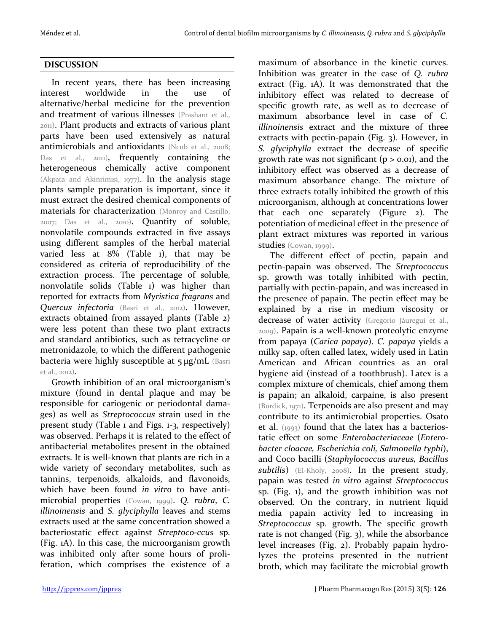## **DISCUSSION**

In recent years, there has been increasing interest worldwide in the use of alternative/herbal medicine for the prevention and treatment of various illnesses (Prashant et al., 2011). Plant products and extracts of various plant parts have been used extensively as natural antimicrobials and antioxidants (Ncub et al., 2008; Das et al., 2011), frequently containing the heterogeneous chemically active component (Akpata and Akinrimisi, 1977). In the analysis stage plants sample preparation is important, since it must extract the desired chemical components of materials for characterization (Monroy and Castillo, 2007; Das et al., 2010). Quantity of soluble, nonvolatile compounds extracted in five assays using different samples of the herbal material varied less at 8% (Table 1), that may be considered as criteria of reproducibility of the extraction process. The percentage of soluble, nonvolatile solids (Table 1) was higher than reported for extracts from *Myristica fragrans* and *Quercus infectoria* (Basri et al., 2012). However, extracts obtained from assayed plants (Table 2) were less potent than these two plant extracts and standard antibiotics, such as tetracycline or metronidazole, to which the different pathogenic bacteria were highly susceptible at 5 μg/mL (Basri et al., 2012).

Growth inhibition of an oral microorganism's mixture (found in dental plaque and may be responsible for cariogenic or periodontal damages) as well as *Streptococcus* strain used in the present study (Table 1 and Figs. 1-3, respectively) was observed. Perhaps it is related to the effect of antibacterial metabolites present in the obtained extracts. It is well-known that plants are rich in a wide variety of secondary metabolites, such as tannins, terpenoids, alkaloids, and flavonoids, which have been found *in vitro* to have antimicrobial properties (Cowan, 1999). *Q. rubra*, *C. illinoinensis* and *S. glyciphylla* leaves and stems extracts used at the same concentration showed a bacteriostatic effect against *Streptoco-ccus* sp. (Fig. 1A). In this case, the microorganism growth was inhibited only after some hours of proliferation, which comprises the existence of a

maximum of absorbance in the kinetic curves. Inhibition was greater in the case of *Q. rubra* extract (Fig. 1A). It was demonstrated that the inhibitory effect was related to decrease of specific growth rate, as well as to decrease of maximum absorbance level in case of *C. illinoinensis* extract and the mixture of three extracts with pectin-papain (Fig. 3). However, in *S. glyciphylla* extract the decrease of specific growth rate was not significant ( $p > 0.01$ ), and the inhibitory effect was observed as a decrease of maximum absorbance change. The mixture of three extracts totally inhibited the growth of this microorganism, although at concentrations lower that each one separately (Figure 2). The potentiation of medicinal effect in the presence of plant extract mixtures was reported in various studies (Cowan, 1999).

The different effect of pectin, papain and pectin-papain was observed. The *Streptococcus*  sp. growth was totally inhibited with pectin, partially with pectin-papain, and was increased in the presence of papain. The pectin effect may be explained by a rise in medium viscosity or decrease of water activity (Gregorio Jáuregui et al., 2009). Papain is a well-known proteolytic enzyme from papaya (*Carica papaya*). *C. papaya* yields a milky sap, often called latex, widely used in Latin American and African countries as an oral hygiene aid (instead of a toothbrush). Latex is a complex mixture of chemicals, chief among them is papain; an alkaloid, carpaine, is also present (Burdick, 1971). Terpenoids are also present and may contribute to its antimicrobial properties. Osato et al. (1993) found that the latex has a bacteriostatic effect on some *Enterobacteriaceae* (*Enterobacter cloacae, Escherichia coli, Salmonella typhi*), and Coco bacilli (*Staphylococcus aureus, Bacillus subtilis*) (El-Kholy, 2008)*.* In the present study, papain was tested *in vitro* against *Streptococcus*  sp. (Fig. 1), and the growth inhibition was not observed. On the contrary, in nutrient liquid media papain activity led to increasing in *Streptococcus* sp. growth. The specific growth rate is not changed (Fig. 3), while the absorbance level increases (Fig. 2). Probably papain hydrolyzes the proteins presented in the nutrient broth, which may facilitate the microbial growth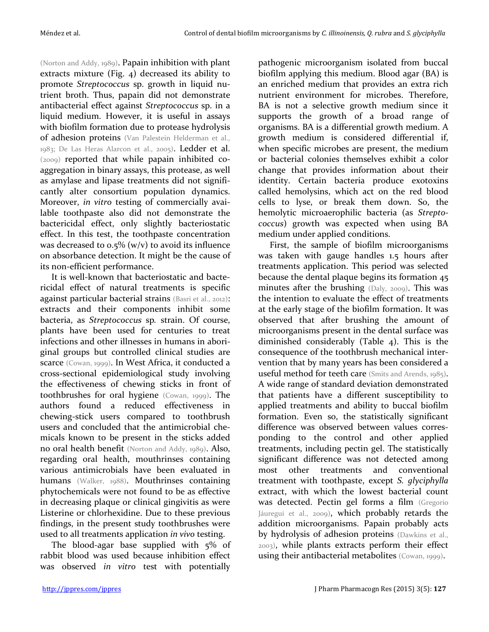(Norton and Addy, 1989). Papain inhibition with plant extracts mixture (Fig. 4) decreased its ability to promote *Streptococcus* sp. growth in liquid nutrient broth. Thus, papain did not demonstrate antibacterial effect against *Streptococcus* sp. in a liquid medium. However, it is useful in assays with biofilm formation due to protease hydrolysis of adhesion proteins (Van Palestein Helderman et al., 1983; De Las Heras Alarcon et al., 2005). Ledder et al. (2009) reported that while papain inhibited coaggregation in binary assays, this protease, as well as amylase and lipase treatments did not significantly alter consortium population dynamics. Moreover, *in vitro* testing of commercially available toothpaste also did not demonstrate the bactericidal effect, only slightly bacteriostatic effect. In this test, the toothpaste concentration was decreased to  $0.5\%$  (w/v) to avoid its influence on absorbance detection. It might be the cause of its non-efficient performance.

It is well-known that bacteriostatic and bactericidal effect of natural treatments is specific against particular bacterial strains (Basri et al., 2012): extracts and their components inhibit some bacteria, as *Streptococcus* sp*.* strain. Of course, plants have been used for centuries to treat infections and other illnesses in humans in aboriginal groups but controlled clinical studies are scarce (Cowan, 1999). In West Africa, it conducted a cross-sectional epidemiological study involving the effectiveness of chewing sticks in front of toothbrushes for oral hygiene (Cowan, 1999). The authors found a reduced effectiveness in chewing-stick users compared to toothbrush users and concluded that the antimicrobial chemicals known to be present in the sticks added no oral health benefit (Norton and Addy, 1989). Also, regarding oral health, mouthrinses containing various antimicrobials have been evaluated in humans (Walker, 1988). Mouthrinses containing phytochemicals were not found to be as effective in decreasing plaque or clinical gingivitis as were Listerine or chlorhexidine. Due to these previous findings, in the present study toothbrushes were used to all treatments application *in vivo* testing.

The blood-agar base supplied with 5% of rabbit blood was used because inhibition effect was observed *in vitro* test with potentially

pathogenic microorganism isolated from buccal biofilm applying this medium. Blood agar (BA) is an enriched medium that provides an extra rich nutrient environment for microbes. Therefore, BA is not a selective growth medium since it supports the growth of a broad range of organisms. BA is a differential growth medium. A growth medium is considered differential if, when specific microbes are present, the medium or bacterial colonies themselves exhibit a color change that provides information about their identity. Certain bacteria produce exotoxins called hemolysins, which act on the red blood cells to lyse, or break them down. So, the hemolytic microaerophilic bacteria (as *Streptococcus*) growth was expected when using BA medium under applied conditions.

First, the sample of biofilm microorganisms was taken with gauge handles 1.5 hours after treatments application. This period was selected because the dental plaque begins its formation 45 minutes after the brushing (Daly, 2009). This was the intention to evaluate the effect of treatments at the early stage of the biofilm formation. It was observed that after brushing the amount of microorganisms present in the dental surface was diminished considerably (Table 4). This is the consequence of the toothbrush mechanical intervention that by many years has been considered a useful method for teeth care (Smits and Arends, 1985). A wide range of standard deviation demonstrated that patients have a different susceptibility to applied treatments and ability to buccal biofilm formation. Even so, the statistically significant difference was observed between values corresponding to the control and other applied treatments, including pectin gel. The statistically significant difference was not detected among most other treatments and conventional treatment with toothpaste, except *S. glyciphylla* extract, with which the lowest bacterial count was detected. Pectin gel forms a film (Gregorio Jáuregui et al., 2009), which probably retards the addition microorganisms. Papain probably acts by hydrolysis of adhesion proteins (Dawkins et al., 2003), while plants extracts perform their effect using their antibacterial metabolites (Cowan, 1999).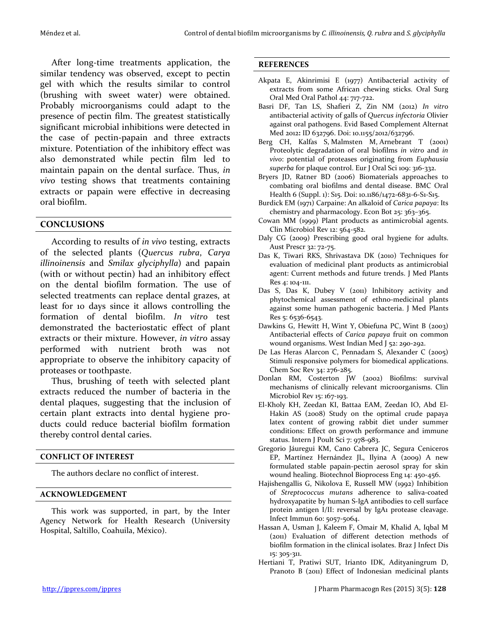After long-time treatments application, the similar tendency was observed, except to pectin gel with which the results similar to control (brushing with sweet water) were obtained. Probably microorganisms could adapt to the presence of pectin film. The greatest statistically significant microbial inhibitions were detected in the case of pectin-papain and three extracts mixture. Potentiation of the inhibitory effect was also demonstrated while pectin film led to maintain papain on the dental surface. Thus, *in vivo* testing shows that treatments containing extracts or papain were effective in decreasing oral biofilm.

## **CONCLUSIONS**

According to results of *in vivo* testing, extracts of the selected plants (*Quercus rubra*, *Carya illinoinensis* and *Smilax glyciphylla*) and papain (with or without pectin) had an inhibitory effect on the dental biofilm formation. The use of selected treatments can replace dental grazes, at least for 10 days since it allows controlling the formation of dental biofilm. *In vitro* test demonstrated the bacteriostatic effect of plant extracts or their mixture. However, *in vitro* assay performed with nutrient broth was not appropriate to observe the inhibitory capacity of proteases or toothpaste.

Thus, brushing of teeth with selected plant extracts reduced the number of bacteria in the dental plaques, suggesting that the inclusion of certain plant extracts into dental hygiene products could reduce bacterial biofilm formation thereby control dental caries.

### **CONFLICT OF INTEREST**

The authors declare no conflict of interest.

#### **ACKNOWLEDGEMENT**

This work was supported, in part, by the Inter Agency Network for Health Research (University Hospital, Saltillo, Coahuila, México).

#### **REFERENCES**

- Akpata E, Akinrimisi E (1977) Antibacterial activity of extracts from some African chewing sticks. Oral Surg Oral Med Oral Pathol 44: 717-722.
- Basri DF, Tan LS, Shafieri Z, Zin NM (2012) *In vitro* antibacterial activity of galls of *Quercus infectoria* Olivier against oral pathogens. Evid Based Complement Alternat Med 2012**:** ID 632796. Doi: 10.1155/2012/632796.
- Berg CH, Kalfas S, Malmsten M, Arnebrant T (2001) Proteolytic degradation of oral biofilms *in vitro* and *in vivo*: potential of proteases originating from *Euphausia superba* for plaque control. Eur J Oral Sci 109: 316-332.
- Bryers JD, Ratner BD (2006) Biomaterials approaches to combating oral biofilms and dental disease. BMC Oral Health 6 (Suppl. 1): S15. Doi: 10.1186/1472-6831-6-S1-S15.
- Burdick EM (1971) Carpaine: An alkaloid of *Carica papaya*: Its chemistry and pharmacology. Econ Bot 25: 363–365.
- Cowan MM (1999) Plant products as antimicrobial agents. Clin Microbiol Rev 12: 564-582.
- Daly CG (2009) Prescribing good oral hygiene for adults. Aust Prescr 32: 72-75.
- Das K, Tiwari RKS, Shrivastava DK (2010) Techniques for evaluation of medicinal plant products as antimicrobial agent: Current methods and future trends. J Med Plants Res 4: 104-111.
- Das S, Das K, Dubey V (2011) Inhibitory activity and phytochemical assessment of ethno-medicinal plants against some human pathogenic bacteria. J Med Plants Res 5: 6536-6543.
- Dawkins G, Hewitt H, Wint Y, Obiefuna PC, Wint B (2003) Antibacterial effects of *Carica papaya* fruit on common wound organisms. West Indian Med J 52: 290-292.
- De Las Heras Alarcon C, Pennadam S, Alexander C (2005) Stimuli responsive polymers for biomedical applications. Chem Soc Rev 34: 276-285.
- Donlan RM, Costerton JW (2002) Biofilms: survival mechanisms of clinically relevant microorganisms. Clin Microbiol Rev 15: 167-193.
- El-Kholy KH, Zeedan KI, Battaa EAM, Zeedan IO, Abd El-Hakin AS (2008) Study on the optimal crude papaya latex content of growing rabbit diet under summer conditions: Effect on growth performance and immune status. Intern J Poult Sci 7: 978-983.
- Gregorio Jáuregui KM, Cano Cabrera JC, Segura Ceniceros EP, Martínez Hernández JL, Ilyina A (2009) A new formulated stable papain-pectin aerosol spray for skin wound healing. Biotechnol Bioprocess Eng 14: 450-456.
- Hajishengallis G, Nikolova E, Russell MW (1992) Inhibition of *Streptococcus mutans* adherence to saliva-coated hydroxyapatite by human S-IgA antibodies to cell surface protein antigen I/II: reversal by IgA1 protease cleavage. Infect Immun 60: 5057-5064.
- Hassan A, Usman J, Kaleem F, Omair M, Khalid A, Iqbal M (2011) Evaluation of different detection methods of biofilm formation in the clinical isolates. Braz J Infect Dis 15: 305-311.
- Hertiani T, Pratiwi SUT, Irianto IDK, Adityaningrum D, Pranoto B (2011) Effect of Indonesian medicinal plants